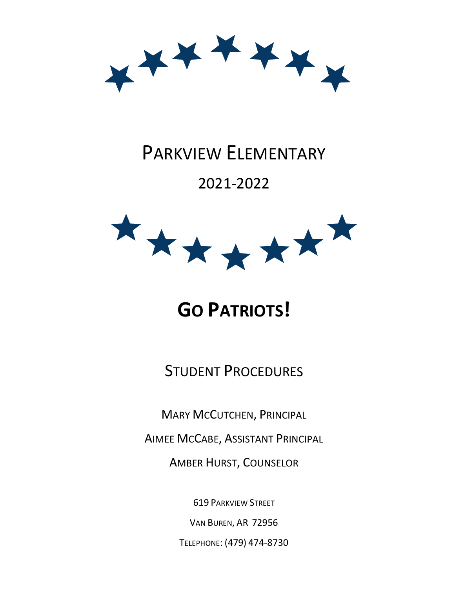

# PARKVIEW ELEMENTARY

## 2021-2022



# **GO PATRIOTS!**

STUDENT PROCEDURES

MARY MCCUTCHEN, PRINCIPAL

AIMEE MCCABE, ASSISTANT PRINCIPAL

AMBER HURST, COUNSELOR

619 PARKVIEW STREET

VAN BUREN, AR 72956

TELEPHONE: (479) 474-8730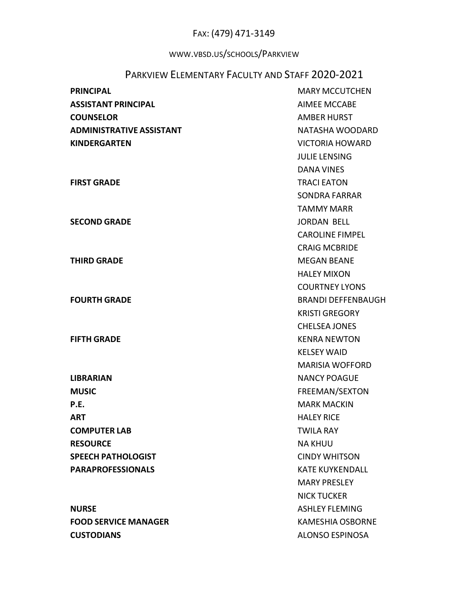## FAX: (479) 471-3149

## WWW.VBSD.US/SCHOOLS/PARKVIEW

## PARKVIEW ELEMENTARY FACULTY AND STAFF 2020-2021

| <b>PRINCIPAL</b>                | <b>MARY MCCUTCHEN</b>     |  |  |
|---------------------------------|---------------------------|--|--|
| <b>ASSISTANT PRINCIPAL</b>      | <b>AIMEE MCCABE</b>       |  |  |
| <b>COUNSELOR</b>                | <b>AMBER HURST</b>        |  |  |
| <b>ADMINISTRATIVE ASSISTANT</b> | NATASHA WOODARD           |  |  |
| <b>KINDERGARTEN</b>             | <b>VICTORIA HOWARD</b>    |  |  |
|                                 | <b>JULIE LENSING</b>      |  |  |
|                                 | <b>DANA VINES</b>         |  |  |
| <b>FIRST GRADE</b>              | <b>TRACI EATON</b>        |  |  |
|                                 | <b>SONDRA FARRAR</b>      |  |  |
|                                 | <b>TAMMY MARR</b>         |  |  |
| <b>SECOND GRADE</b>             | <b>JORDAN BELL</b>        |  |  |
|                                 | <b>CAROLINE FIMPEL</b>    |  |  |
|                                 | <b>CRAIG MCBRIDE</b>      |  |  |
| <b>THIRD GRADE</b>              | <b>MEGAN BEANE</b>        |  |  |
|                                 | <b>HALEY MIXON</b>        |  |  |
|                                 | <b>COURTNEY LYONS</b>     |  |  |
| <b>FOURTH GRADE</b>             | <b>BRANDI DEFFENBAUGH</b> |  |  |
|                                 | <b>KRISTI GREGORY</b>     |  |  |
|                                 | <b>CHELSEA JONES</b>      |  |  |
| <b>FIFTH GRADE</b>              | <b>KENRA NEWTON</b>       |  |  |
|                                 | <b>KELSEY WAID</b>        |  |  |
|                                 | <b>MARISIA WOFFORD</b>    |  |  |
| <b>LIBRARIAN</b>                | <b>NANCY POAGUE</b>       |  |  |
| <b>MUSIC</b>                    | FREEMAN/SEXTON            |  |  |
| P.E.                            | <b>MARK MACKIN</b>        |  |  |
| <b>ART</b>                      | <b>HALEY RICE</b>         |  |  |
| <b>COMPUTER LAB</b>             | <b>TWILA RAY</b>          |  |  |
| <b>RESOURCE</b>                 | <b>NA KHUU</b>            |  |  |
| <b>SPEECH PATHOLOGIST</b>       | <b>CINDY WHITSON</b>      |  |  |
| <b>PARAPROFESSIONALS</b>        | <b>KATE KUYKENDALL</b>    |  |  |
|                                 | <b>MARY PRESLEY</b>       |  |  |
|                                 | <b>NICK TUCKER</b>        |  |  |
| <b>NURSE</b>                    | <b>ASHLEY FLEMING</b>     |  |  |
| <b>FOOD SERVICE MANAGER</b>     | <b>KAMESHIA OSBORNE</b>   |  |  |
| <b>CUSTODIANS</b>               | ALONSO ESPINOSA           |  |  |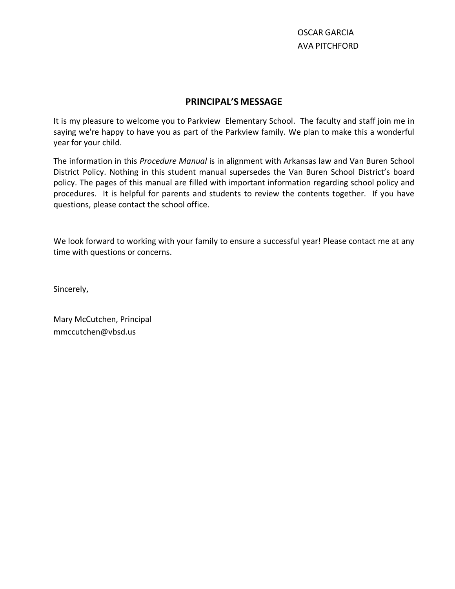#### **PRINCIPAL'S MESSAGE**

It is my pleasure to welcome you to Parkview Elementary School. The faculty and staff join me in saying we're happy to have you as part of the Parkview family. We plan to make this a wonderful year for your child.

The information in this *Procedure Manual* is in alignment with Arkansas law and Van Buren School District Policy. Nothing in this student manual supersedes the Van Buren School District's board policy. The pages of this manual are filled with important information regarding school policy and procedures. It is helpful for parents and students to review the contents together. If you have questions, please contact the school office.

We look forward to working with your family to ensure a successful year! Please contact me at any time with questions or concerns.

Sincerely,

Mary McCutchen, Principal mmccutchen@vbsd.us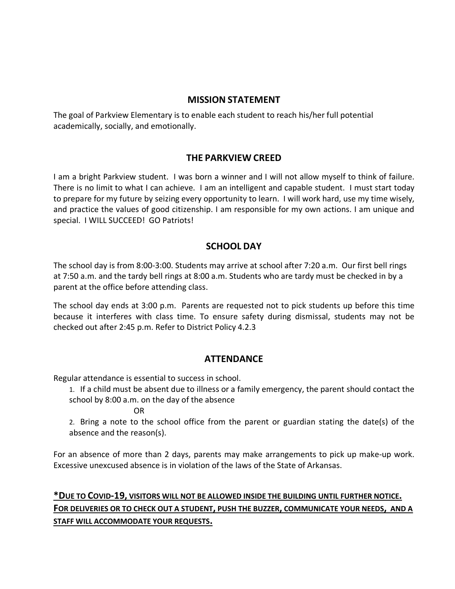#### **MISSION STATEMENT**

The goal of Parkview Elementary is to enable each student to reach his/her full potential academically, socially, and emotionally.

#### **THE PARKVIEW CREED**

I am a bright Parkview student. I was born a winner and I will not allow myself to think of failure. There is no limit to what I can achieve. I am an intelligent and capable student. I must start today to prepare for my future by seizing every opportunity to learn. I will work hard, use my time wisely, and practice the values of good citizenship. I am responsible for my own actions. I am unique and special. I WILL SUCCEED! GO Patriots!

#### **SCHOOL DAY**

The school day is from 8:00-3:00. Students may arrive at school after 7:20 a.m. Our first bell rings at 7:50 a.m. and the tardy bell rings at 8:00 a.m. Students who are tardy must be checked in by a parent at the office before attending class.

The school day ends at 3:00 p.m. Parents are requested not to pick students up before this time because it interferes with class time. To ensure safety during dismissal, students may not be checked out after 2:45 p.m. Refer to District Policy 4.2.3

#### **ATTENDANCE**

Regular attendance is essential to success in school.

1. If a child must be absent due to illness or a family emergency, the parent should contact the school by 8:00 a.m. on the day of the absence

OR

2. Bring a note to the school office from the parent or guardian stating the date(s) of the absence and the reason(s).

For an absence of more than 2 days, parents may make arrangements to pick up make-up work. Excessive unexcused absence is in violation of the laws of the State of Arkansas.

## **\*DUE TO COVID-19, VISITORS WILL NOT BE ALLOWED INSIDE THE BUILDING UNTIL FURTHER NOTICE. FOR DELIVERIES OR TO CHECK OUT A STUDENT, PUSH THE BUZZER, COMMUNICATE YOUR NEEDS, AND A STAFF WILL ACCOMMODATE YOUR REQUESTS.**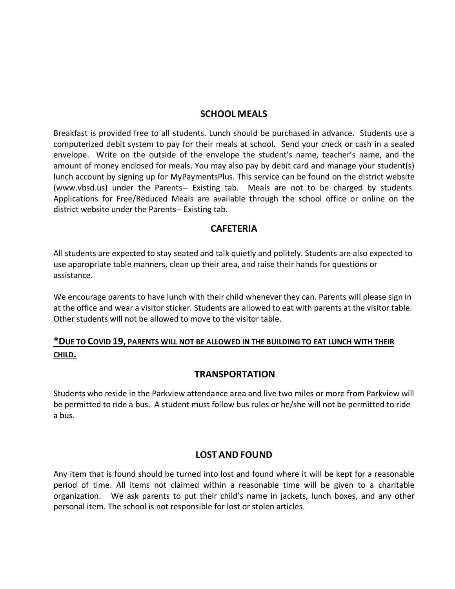#### **SCHOOL MEALS**

Breakfast is provided free to all students. Lunch should be purchased in advance. Students use a computerized debit system to pay for their meals at school. Send your check or cash in a sealed envelope. Write on the outside of the envelope the student's name, teacher's name, and the amount of money enclosed for meals. You may also pay by debit card and manage your student(s) lunch account by signing up for MyPaymentsPlus. This service can be found on the district website (www.vbsd.us) under the Parents-- Existing tab. Meals are not to be charged by students. Applications for Free/Reduced Meals are available through the school office or online on the district website under the Parents-- Existing tab.

#### **CAFETERIA**

All students are expected to stay seated and talk quietly and politely. Students are also expected to use appropriate table manners, clean up their area, and raise their hands for questions or assistance.

We encourage parents to have lunch with their child whenever they can. Parents will please sign in at the office and wear a visitor sticker. Students are allowed to eat with parents at the visitor table. Other students will not be allowed to move to the visitor table.

#### **\*DUE TO COVID 19, PARENTS WILL NOT BE ALLOWED IN THE BUILDING TO EAT LUNCH WITH THEIR CHILD.**

#### **TRANSPORTATION**

Students who reside in the Parkview attendance area and live two miles or more from Parkview will be permitted to ride a bus. A student must follow bus rules or he/she will not be permitted to ride a bus.

#### **LOST AND FOUND**

Any item that is found should be turned into lost and found where it will be kept for a reasonable period of time. All items not claimed within a reasonable time will be given to a charitable organization. We ask parents to put their child's name in jackets, lunch boxes, and any other personal item. The school is not responsible for lost or stolen articles.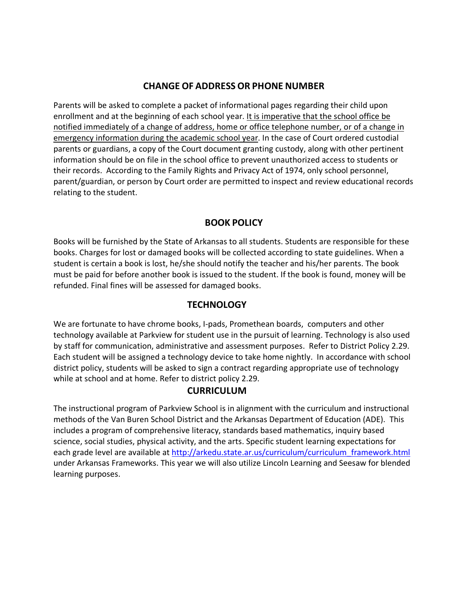#### **CHANGE OF ADDRESS OR PHONE NUMBER**

Parents will be asked to complete a packet of informational pages regarding their child upon enrollment and at the beginning of each school year. It is imperative that the school office be notified immediately of a change of address, home or office telephone number, or of a change in emergency information during the academic school year. In the case of Court ordered custodial parents or guardians, a copy of the Court document granting custody, along with other pertinent information should be on file in the school office to prevent unauthorized access to students or their records. According to the Family Rights and Privacy Act of 1974, only school personnel, parent/guardian, or person by Court order are permitted to inspect and review educational records relating to the student.

#### **BOOK POLICY**

Books will be furnished by the State of Arkansas to all students. Students are responsible for these books. Charges for lost or damaged books will be collected according to state guidelines. When a student is certain a book is lost, he/she should notify the teacher and his/her parents. The book must be paid for before another book is issued to the student. If the book is found, money will be refunded. Final fines will be assessed for damaged books.

#### **TECHNOLOGY**

We are fortunate to have chrome books, I-pads, Promethean boards, computers and other technology available at Parkview for student use in the pursuit of learning. Technology is also used by staff for communication, administrative and assessment purposes. Refer to District Policy 2.29. Each student will be assigned a technology device to take home nightly. In accordance with school district policy, students will be asked to sign a contract regarding appropriate use of technology while at school and at home. Refer to district policy 2.29.

## **CURRICULUM**

The instructional program of Parkview School is in alignment with the curriculum and instructional methods of the Van Buren School District and the Arkansas Department of Education (ADE). This includes a program of comprehensive literacy, standards based mathematics, inquiry based science, social studies, physical activity, and the arts. Specific student learning expectations for each grade level are available at [http://arkedu.state.ar.us/curriculum/curriculum\\_framework.html](http://arkedu.state.ar.us/curriculum/curriculum_framework.html) under Arkansas Frameworks. This year we will also utilize Lincoln Learning and Seesaw for blended learning purposes.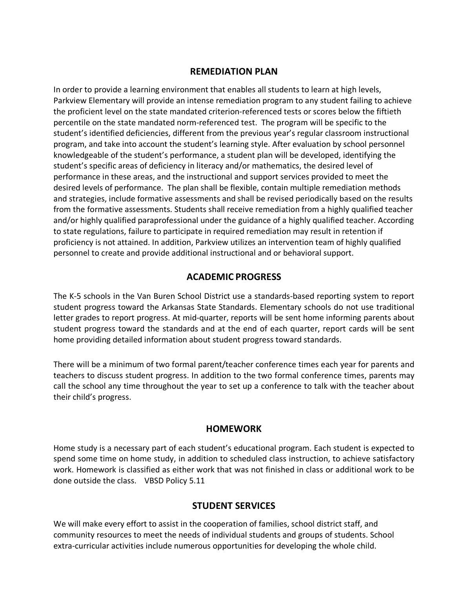#### **REMEDIATION PLAN**

In order to provide a learning environment that enables all students to learn at high levels, Parkview Elementary will provide an intense remediation program to any student failing to achieve the proficient level on the state mandated criterion-referenced tests or scores below the fiftieth percentile on the state mandated norm-referenced test. The program will be specific to the student's identified deficiencies, different from the previous year's regular classroom instructional program, and take into account the student's learning style. After evaluation by school personnel knowledgeable of the student's performance, a student plan will be developed, identifying the student's specific areas of deficiency in literacy and/or mathematics, the desired level of performance in these areas, and the instructional and support services provided to meet the desired levels of performance. The plan shall be flexible, contain multiple remediation methods and strategies, include formative assessments and shall be revised periodically based on the results from the formative assessments. Students shall receive remediation from a highly qualified teacher and/or highly qualified paraprofessional under the guidance of a highly qualified teacher. According to state regulations, failure to participate in required remediation may result in retention if proficiency is not attained. In addition, Parkview utilizes an intervention team of highly qualified personnel to create and provide additional instructional and or behavioral support.

#### **ACADEMIC PROGRESS**

The K-5 schools in the Van Buren School District use a standards-based reporting system to report student progress toward the Arkansas State Standards. Elementary schools do not use traditional letter grades to report progress. At mid-quarter, reports will be sent home informing parents about student progress toward the standards and at the end of each quarter, report cards will be sent home providing detailed information about student progress toward standards.

There will be a minimum of two formal parent/teacher conference times each year for parents and teachers to discuss student progress. In addition to the two formal conference times, parents may call the school any time throughout the year to set up a conference to talk with the teacher about their child's progress.

#### **HOMEWORK**

Home study is a necessary part of each student's educational program. Each student is expected to spend some time on home study, in addition to scheduled class instruction, to achieve satisfactory work. Homework is classified as either work that was not finished in class or additional work to be done outside the class. VBSD Policy 5.11

#### **STUDENT SERVICES**

We will make every effort to assist in the cooperation of families, school district staff, and community resources to meet the needs of individual students and groups of students. School extra-curricular activities include numerous opportunities for developing the whole child.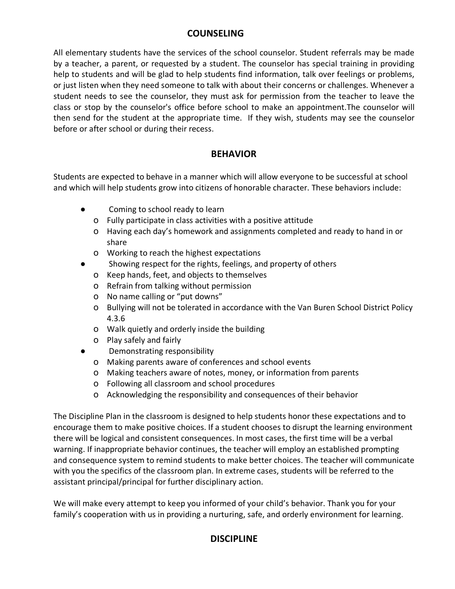#### **COUNSELING**

All elementary students have the services of the school counselor. Student referrals may be made by a teacher, a parent, or requested by a student. The counselor has special training in providing help to students and will be glad to help students find information, talk over feelings or problems, or just listen when they need someone to talk with about their concerns or challenges. Whenever a student needs to see the counselor, they must ask for permission from the teacher to leave the class or stop by the counselor's office before school to make an appointment.The counselor will then send for the student at the appropriate time. If they wish, students may see the counselor before or after school or during their recess.

#### **BEHAVIOR**

Students are expected to behave in a manner which will allow everyone to be successful at school and which will help students grow into citizens of honorable character. These behaviors include:

- Coming to school ready to learn
	- o Fully participate in class activities with a positive attitude
	- o Having each day's homework and assignments completed and ready to hand in or share
	- o Working to reach the highest expectations
- Showing respect for the rights, feelings, and property of others
	- o Keep hands, feet, and objects to themselves
	- o Refrain from talking without permission
	- o No name calling or "put downs"
	- o Bullying will not be tolerated in accordance with the Van Buren School District Policy 4.3.6
	- o Walk quietly and orderly inside the building
	- o Play safely and fairly
- Demonstrating responsibility
	- o Making parents aware of conferences and school events
	- o Making teachers aware of notes, money, or information from parents
	- o Following all classroom and school procedures
	- o Acknowledging the responsibility and consequences of their behavior

The Discipline Plan in the classroom is designed to help students honor these expectations and to encourage them to make positive choices. If a student chooses to disrupt the learning environment there will be logical and consistent consequences. In most cases, the first time will be a verbal warning. If inappropriate behavior continues, the teacher will employ an established prompting and consequence system to remind students to make better choices. The teacher will communicate with you the specifics of the classroom plan. In extreme cases, students will be referred to the assistant principal/principal for further disciplinary action.

We will make every attempt to keep you informed of your child's behavior. Thank you for your family's cooperation with us in providing a nurturing, safe, and orderly environment for learning.

#### **DISCIPLINE**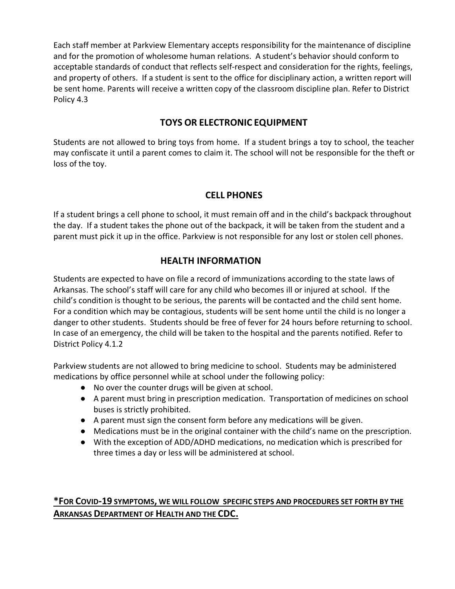Each staff member at Parkview Elementary accepts responsibility for the maintenance of discipline and for the promotion of wholesome human relations. A student's behavior should conform to acceptable standards of conduct that reflects self-respect and consideration for the rights, feelings, and property of others. If a student is sent to the office for disciplinary action, a written report will be sent home. Parents will receive a written copy of the classroom discipline plan. Refer to District Policy 4.3

#### **TOYS OR ELECTRONIC EQUIPMENT**

Students are not allowed to bring toys from home. If a student brings a toy to school, the teacher may confiscate it until a parent comes to claim it. The school will not be responsible for the theft or loss of the toy.

#### **CELL PHONES**

If a student brings a cell phone to school, it must remain off and in the child's backpack throughout the day. If a student takes the phone out of the backpack, it will be taken from the student and a parent must pick it up in the office. Parkview is not responsible for any lost or stolen cell phones.

#### **HEALTH INFORMATION**

Students are expected to have on file a record of immunizations according to the state laws of Arkansas. The school's staff will care for any child who becomes ill or injured at school. If the child's condition is thought to be serious, the parents will be contacted and the child sent home. For a condition which may be contagious, students will be sent home until the child is no longer a danger to other students. Students should be free of fever for 24 hours before returning to school. In case of an emergency, the child will be taken to the hospital and the parents notified. Refer to District Policy 4.1.2

Parkview students are not allowed to bring medicine to school. Students may be administered medications by office personnel while at school under the following policy:

- No over the counter drugs will be given at school.
- A parent must bring in prescription medication. Transportation of medicines on school buses is strictly prohibited.
- A parent must sign the consent form before any medications will be given.
- Medications must be in the original container with the child's name on the prescription.
- With the exception of ADD/ADHD medications, no medication which is prescribed for three times a day or less will be administered at school.

#### **\*FOR COVID-19 SYMPTOMS, WE WILL FOLLOW SPECIFIC STEPS AND PROCEDURES SET FORTH BY THE ARKANSAS DEPARTMENT OF HEALTH AND THE CDC.**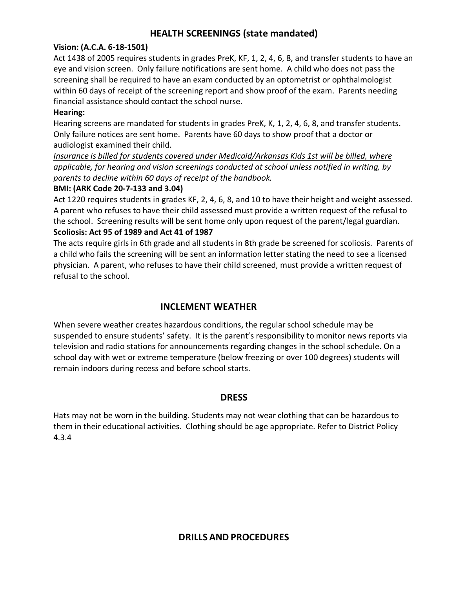#### **HEALTH SCREENINGS (state mandated)**

#### **Vision: (A.C.A. 6-18-1501)**

Act 1438 of 2005 requires students in grades PreK, KF, 1, 2, 4, 6, 8, and transfer students to have an eye and vision screen. Only failure notifications are sent home. A child who does not pass the screening shall be required to have an exam conducted by an optometrist or ophthalmologist within 60 days of receipt of the screening report and show proof of the exam. Parents needing financial assistance should contact the school nurse.

#### **Hearing:**

Hearing screens are mandated for students in grades PreK, K, 1, 2, 4, 6, 8, and transfer students. Only failure notices are sent home. Parents have 60 days to show proof that a doctor or audiologist examined their child.

*Insurance is billed for students covered under Medicaid/Arkansas Kids 1st will be billed, where applicable, for hearing and vision screenings conducted at school unless notified in writing, by parents to decline within 60 days of receipt of the handbook.*

#### **BMI: (ARK Code 20-7-133 and 3.04)**

Act 1220 requires students in grades KF, 2, 4, 6, 8, and 10 to have their height and weight assessed. A parent who refuses to have their child assessed must provide a written request of the refusal to the school. Screening results will be sent home only upon request of the parent/legal guardian. **Scoliosis: Act 95 of 1989 and Act 41 of 1987**

The acts require girls in 6th grade and all students in 8th grade be screened for scoliosis. Parents of a child who fails the screening will be sent an information letter stating the need to see a licensed physician. A parent, who refuses to have their child screened, must provide a written request of refusal to the school.

#### **INCLEMENT WEATHER**

When severe weather creates hazardous conditions, the regular school schedule may be suspended to ensure students' safety. It is the parent's responsibility to monitor news reports via television and radio stations for announcements regarding changes in the school schedule. On a school day with wet or extreme temperature (below freezing or over 100 degrees) students will remain indoors during recess and before school starts.

#### **DRESS**

Hats may not be worn in the building. Students may not wear clothing that can be hazardous to them in their educational activities. Clothing should be age appropriate. Refer to District Policy 4.3.4

#### **DRILLS AND PROCEDURES**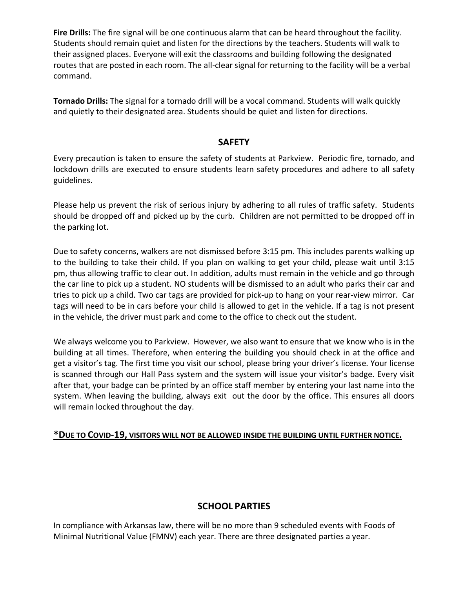**Fire Drills:** The fire signal will be one continuous alarm that can be heard throughout the facility. Students should remain quiet and listen for the directions by the teachers. Students will walk to their assigned places. Everyone will exit the classrooms and building following the designated routes that are posted in each room. The all-clear signal for returning to the facility will be a verbal command.

**Tornado Drills:** The signal for a tornado drill will be a vocal command. Students will walk quickly and quietly to their designated area. Students should be quiet and listen for directions.

#### **SAFETY**

Every precaution is taken to ensure the safety of students at Parkview. Periodic fire, tornado, and lockdown drills are executed to ensure students learn safety procedures and adhere to all safety guidelines.

Please help us prevent the risk of serious injury by adhering to all rules of traffic safety. Students should be dropped off and picked up by the curb. Children are not permitted to be dropped off in the parking lot.

Due to safety concerns, walkers are not dismissed before 3:15 pm. This includes parents walking up to the building to take their child. If you plan on walking to get your child, please wait until 3:15 pm, thus allowing traffic to clear out. In addition, adults must remain in the vehicle and go through the car line to pick up a student. NO students will be dismissed to an adult who parks their car and tries to pick up a child. Two car tags are provided for pick-up to hang on your rear-view mirror. Car tags will need to be in cars before your child is allowed to get in the vehicle. If a tag is not present in the vehicle, the driver must park and come to the office to check out the student.

We always welcome you to Parkview. However, we also want to ensure that we know who is in the building at all times. Therefore, when entering the building you should check in at the office and get a visitor's tag. The first time you visit our school, please bring your driver's license. Your license is scanned through our Hall Pass system and the system will issue your visitor's badge. Every visit after that, your badge can be printed by an office staff member by entering your last name into the system. When leaving the building, always exit out the door by the office. This ensures all doors will remain locked throughout the day.

#### **\*DUE TO COVID-19, VISITORS WILL NOT BE ALLOWED INSIDE THE BUILDING UNTIL FURTHER NOTICE.**

#### **SCHOOL PARTIES**

In compliance with Arkansas law, there will be no more than 9 scheduled events with Foods of Minimal Nutritional Value (FMNV) each year. There are three designated parties a year.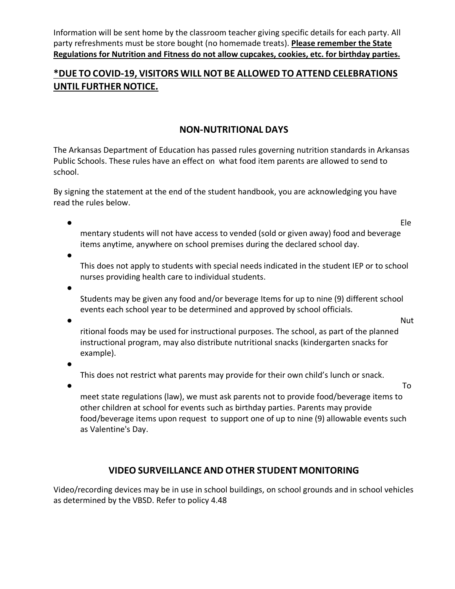Information will be sent home by the classroom teacher giving specific details for each party. All party refreshments must be store bought (no homemade treats). **Please remember the State Regulations for Nutrition and Fitness do not allow cupcakes, cookies, etc. for birthday parties.** 

#### **\*DUE TOCOVID-19, VISITORS WILL NOT BE ALLOWED TO ATTEND CELEBRATIONS UNTIL FURTHER NOTICE.**

#### **NON-NUTRITIONAL DAYS**

The Arkansas Department of Education has passed rules governing nutrition standards in Arkansas Public Schools. These rules have an effect on what food item parents are allowed to send to school.

By signing the statement at the end of the student handbook, you are acknowledging you have read the rules below.

● Ele mentary students will not have access to vended (sold or given away) food and beverage items anytime, anywhere on school premises during the declared school day.

 $\bullet$ This does not apply to students with special needs indicated in the student IEP or to school nurses providing health care to individual students.

 $\bullet$ 

Students may be given any food and/or beverage Items for up to nine (9) different school events each school year to be determined and approved by school officials.

● Nutries and the contract of the contract of the contract of the contract of the contract of the contract of the contract of the contract of the contract of the contract of the contract of the contract of the contract o

ritional foods may be used for instructional purposes. The school, as part of the planned instructional program, may also distribute nutritional snacks (kindergarten snacks for example).

●

This does not restrict what parents may provide for their own child's lunch or snack.

 $\bullet$  To the contract of  $\bullet$  To the contract of  $\bullet$  To the contract of  $\bullet$  To the contract of  $\bullet$ meet state regulations (law), we must ask parents not to provide food/beverage items to other children at school for events such as birthday parties. Parents may provide food/beverage items upon request to support one of up to nine (9) allowable events such as Valentine's Day.

#### **VIDEO SURVEILLANCE AND OTHER STUDENT MONITORING**

Video/recording devices may be in use in school buildings, on school grounds and in school vehicles as determined by the VBSD. Refer to policy 4.48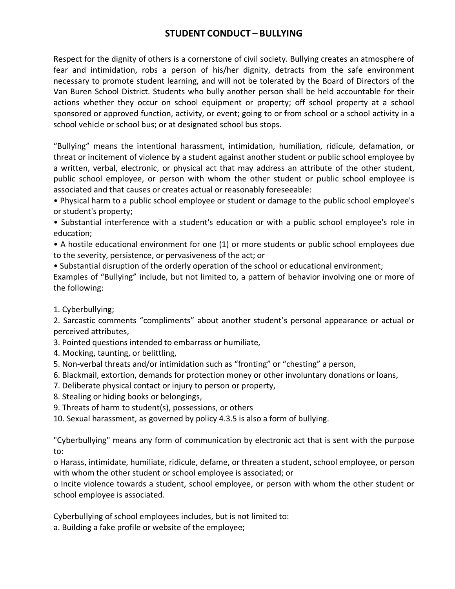#### **STUDENT CONDUCT – BULLYING**

Respect for the dignity of others is a cornerstone of civil society. Bullying creates an atmosphere of fear and intimidation, robs a person of his/her dignity, detracts from the safe environment necessary to promote student learning, and will not be tolerated by the Board of Directors of the Van Buren School District. Students who bully another person shall be held accountable for their actions whether they occur on school equipment or property; off school property at a school sponsored or approved function, activity, or event; going to or from school or a school activity in a school vehicle or school bus; or at designated school bus stops.

"Bullying" means the intentional harassment, intimidation, humiliation, ridicule, defamation, or threat or incitement of violence by a student against another student or public school employee by a written, verbal, electronic, or physical act that may address an attribute of the other student, public school employee, or person with whom the other student or public school employee is associated and that causes or creates actual or reasonably foreseeable:

• Physical harm to a public school employee or student or damage to the public school employee's or student's property;

• Substantial interference with a student's education or with a public school employee's role in education;

• A hostile educational environment for one (1) or more students or public school employees due to the severity, persistence, or pervasiveness of the act; or

• Substantial disruption of the orderly operation of the school or educational environment;

Examples of "Bullying" include, but not limited to, a pattern of behavior involving one or more of the following:

1. Cyberbullying;

2. Sarcastic comments "compliments" about another student's personal appearance or actual or perceived attributes,

3. Pointed questions intended to embarrass or humiliate,

- 4. Mocking, taunting, or belittling,
- 5. Non-verbal threats and/or intimidation such as "fronting" or "chesting" a person,
- 6. Blackmail, extortion, demands for protection money or other involuntary donations or loans,
- 7. Deliberate physical contact or injury to person or property,
- 8. Stealing or hiding books or belongings,
- 9. Threats of harm to student(s), possessions, or others

10. Sexual harassment, as governed by policy 4.3.5 is also a form of bullying.

"Cyberbullying" means any form of communication by electronic act that is sent with the purpose to:

o Harass, intimidate, humiliate, ridicule, defame, or threaten a student, school employee, or person with whom the other student or school employee is associated; or

o Incite violence towards a student, school employee, or person with whom the other student or school employee is associated.

Cyberbullying of school employees includes, but is not limited to:

a. Building a fake profile or website of the employee;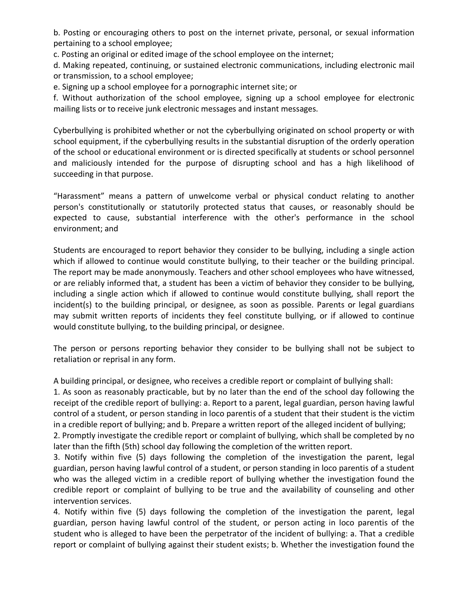b. Posting or encouraging others to post on the internet private, personal, or sexual information pertaining to a school employee;

c. Posting an original or edited image of the school employee on the internet;

d. Making repeated, continuing, or sustained electronic communications, including electronic mail or transmission, to a school employee;

e. Signing up a school employee for a pornographic internet site; or

f. Without authorization of the school employee, signing up a school employee for electronic mailing lists or to receive junk electronic messages and instant messages.

Cyberbullying is prohibited whether or not the cyberbullying originated on school property or with school equipment, if the cyberbullying results in the substantial disruption of the orderly operation of the school or educational environment or is directed specifically at students or school personnel and maliciously intended for the purpose of disrupting school and has a high likelihood of succeeding in that purpose.

"Harassment" means a pattern of unwelcome verbal or physical conduct relating to another person's constitutionally or statutorily protected status that causes, or reasonably should be expected to cause, substantial interference with the other's performance in the school environment; and

Students are encouraged to report behavior they consider to be bullying, including a single action which if allowed to continue would constitute bullying, to their teacher or the building principal. The report may be made anonymously. Teachers and other school employees who have witnessed, or are reliably informed that, a student has been a victim of behavior they consider to be bullying, including a single action which if allowed to continue would constitute bullying, shall report the incident(s) to the building principal, or designee, as soon as possible. Parents or legal guardians may submit written reports of incidents they feel constitute bullying, or if allowed to continue would constitute bullying, to the building principal, or designee.

The person or persons reporting behavior they consider to be bullying shall not be subject to retaliation or reprisal in any form.

A building principal, or designee, who receives a credible report or complaint of bullying shall:

1. As soon as reasonably practicable, but by no later than the end of the school day following the receipt of the credible report of bullying: a. Report to a parent, legal guardian, person having lawful control of a student, or person standing in loco parentis of a student that their student is the victim in a credible report of bullying; and b. Prepare a written report of the alleged incident of bullying;

2. Promptly investigate the credible report or complaint of bullying, which shall be completed by no later than the fifth (5th) school day following the completion of the written report.

3. Notify within five (5) days following the completion of the investigation the parent, legal guardian, person having lawful control of a student, or person standing in loco parentis of a student who was the alleged victim in a credible report of bullying whether the investigation found the credible report or complaint of bullying to be true and the availability of counseling and other intervention services.

4. Notify within five (5) days following the completion of the investigation the parent, legal guardian, person having lawful control of the student, or person acting in loco parentis of the student who is alleged to have been the perpetrator of the incident of bullying: a. That a credible report or complaint of bullying against their student exists; b. Whether the investigation found the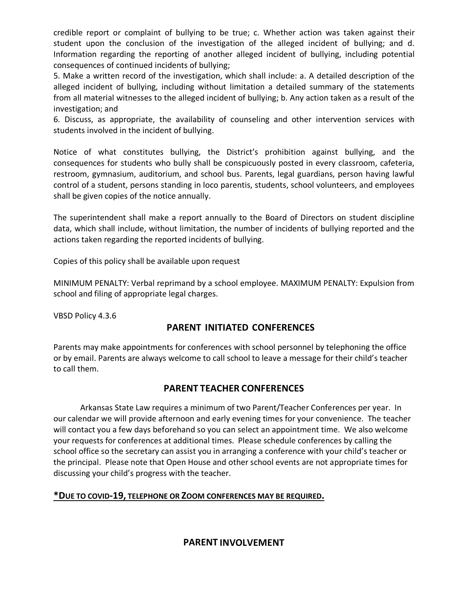credible report or complaint of bullying to be true; c. Whether action was taken against their student upon the conclusion of the investigation of the alleged incident of bullying; and d. Information regarding the reporting of another alleged incident of bullying, including potential consequences of continued incidents of bullying;

5. Make a written record of the investigation, which shall include: a. A detailed description of the alleged incident of bullying, including without limitation a detailed summary of the statements from all material witnesses to the alleged incident of bullying; b. Any action taken as a result of the investigation; and

6. Discuss, as appropriate, the availability of counseling and other intervention services with students involved in the incident of bullying.

Notice of what constitutes bullying, the District's prohibition against bullying, and the consequences for students who bully shall be conspicuously posted in every classroom, cafeteria, restroom, gymnasium, auditorium, and school bus. Parents, legal guardians, person having lawful control of a student, persons standing in loco parentis, students, school volunteers, and employees shall be given copies of the notice annually.

The superintendent shall make a report annually to the Board of Directors on student discipline data, which shall include, without limitation, the number of incidents of bullying reported and the actions taken regarding the reported incidents of bullying.

Copies of this policy shall be available upon request

MINIMUM PENALTY: Verbal reprimand by a school employee. MAXIMUM PENALTY: Expulsion from school and filing of appropriate legal charges.

VBSD Policy 4.3.6

#### **PARENT INITIATED CONFERENCES**

Parents may make appointments for conferences with school personnel by telephoning the office or by email. Parents are always welcome to call school to leave a message for their child's teacher to call them.

#### **PARENT TEACHER CONFERENCES**

Arkansas State Law requires a minimum of two Parent/Teacher Conferences per year. In our calendar we will provide afternoon and early evening times for your convenience. The teacher will contact you a few days beforehand so you can select an appointment time. We also welcome your requests for conferences at additional times. Please schedule conferences by calling the school office so the secretary can assist you in arranging a conference with your child's teacher or the principal. Please note that Open House and other school events are not appropriate times for discussing your child's progress with the teacher.

#### **\*DUE TO COVID-19, TELEPHONE OR ZOOM CONFERENCES MAY BE REQUIRED.**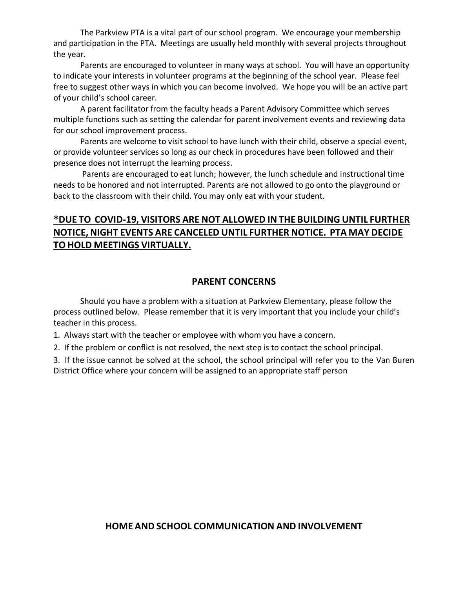The Parkview PTA is a vital part of our school program. We encourage your membership and participation in the PTA. Meetings are usually held monthly with several projects throughout the year.

Parents are encouraged to volunteer in many ways at school. You will have an opportunity to indicate your interests in volunteer programs at the beginning of the school year. Please feel free to suggest other ways in which you can become involved. We hope you will be an active part of your child's school career.

A parent facilitator from the faculty heads a Parent Advisory Committee which serves multiple functions such as setting the calendar for parent involvement events and reviewing data for our school improvement process.

Parents are welcome to visit school to have lunch with their child, observe a special event, or provide volunteer services so long as our check in procedures have been followed and their presence does not interrupt the learning process.

Parents are encouraged to eat lunch; however, the lunch schedule and instructional time needs to be honored and not interrupted. Parents are not allowed to go onto the playground or back to the classroom with their child. You may only eat with your student.

## **\*DUE TO COVID-19, VISITORS ARE NOT ALLOWED IN THE BUILDING UNTIL FURTHER NOTICE, NIGHT EVENTS ARE CANCELED UNTIL FURTHER NOTICE. PTA MAY DECIDE TOHOLD MEETINGS VIRTUALLY.**

#### **PARENT CONCERNS**

Should you have a problem with a situation at Parkview Elementary, please follow the process outlined below. Please remember that it is very important that you include your child's teacher in this process.

1. Always start with the teacher or employee with whom you have a concern.

2. If the problem or conflict is not resolved, the next step is to contact the school principal.

3. If the issue cannot be solved at the school, the school principal will refer you to the Van Buren District Office where your concern will be assigned to an appropriate staff person

#### **HOME AND SCHOOL COMMUNICATION AND INVOLVEMENT**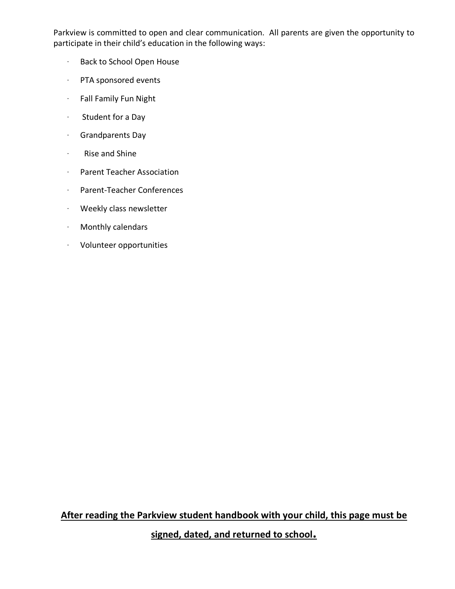Parkview is committed to open and clear communication. All parents are given the opportunity to participate in their child's education in the following ways:

- · Back to School Open House
- · PTA sponsored events
- · Fall Family Fun Night
- · Student for a Day
- · Grandparents Day
- · Rise and Shine
- · Parent Teacher Association
- · Parent-Teacher Conferences
- · Weekly class newsletter
- · Monthly calendars
- · Volunteer opportunities

**After reading the Parkview student handbook with your child, this page must be signed, dated, and returned to school.**